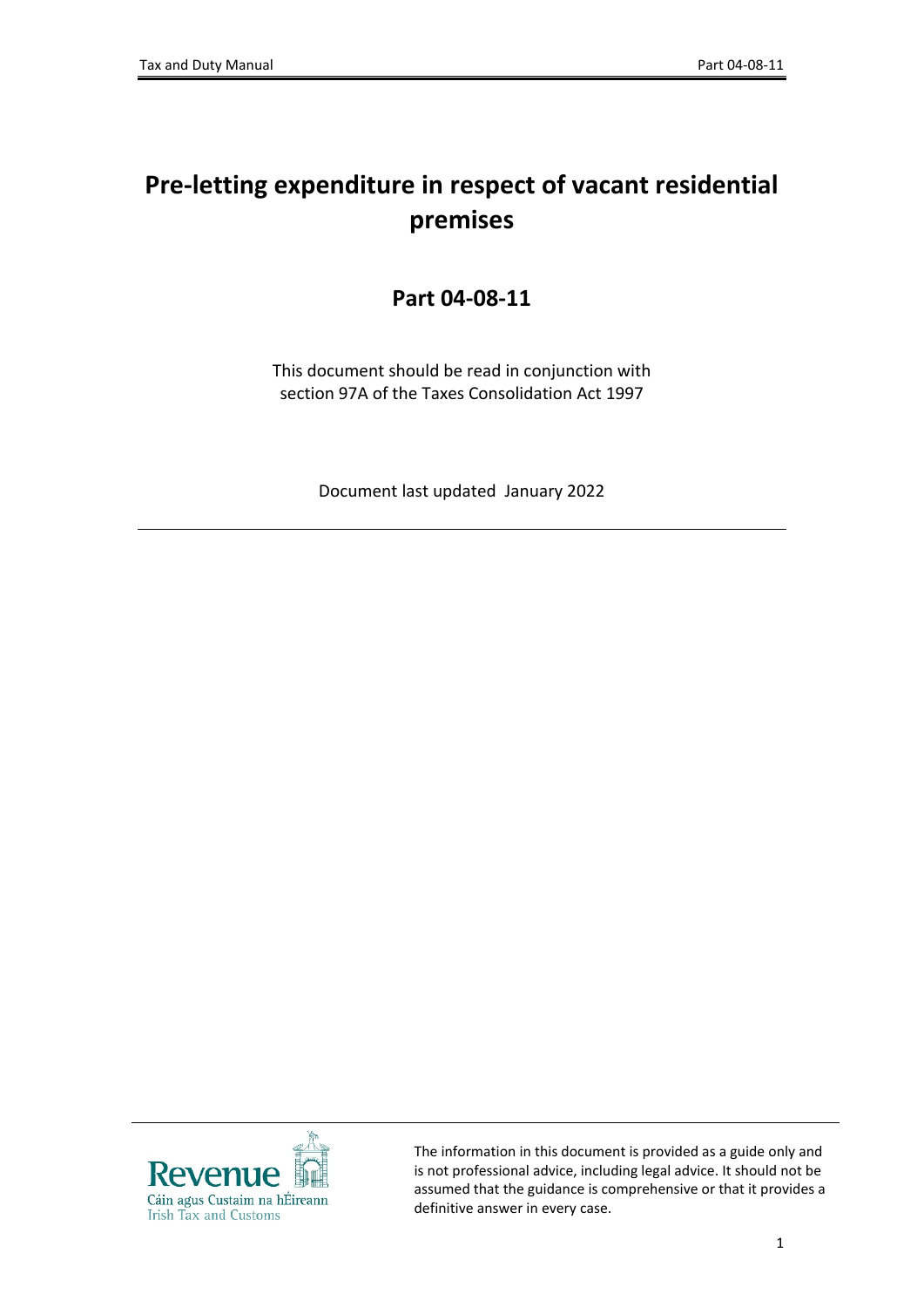# **Pre-letting expenditure in respect of vacant residential premises**

#### **Part 04-08-11**

This document should be read in conjunction with section 97A of the Taxes Consolidation Act 1997

Document last updated January 2022



The information in this document is provided as a guide only and is not professional advice, including legal advice. It should not be assumed that the guidance is comprehensive or that it provides a definitive answer in every case.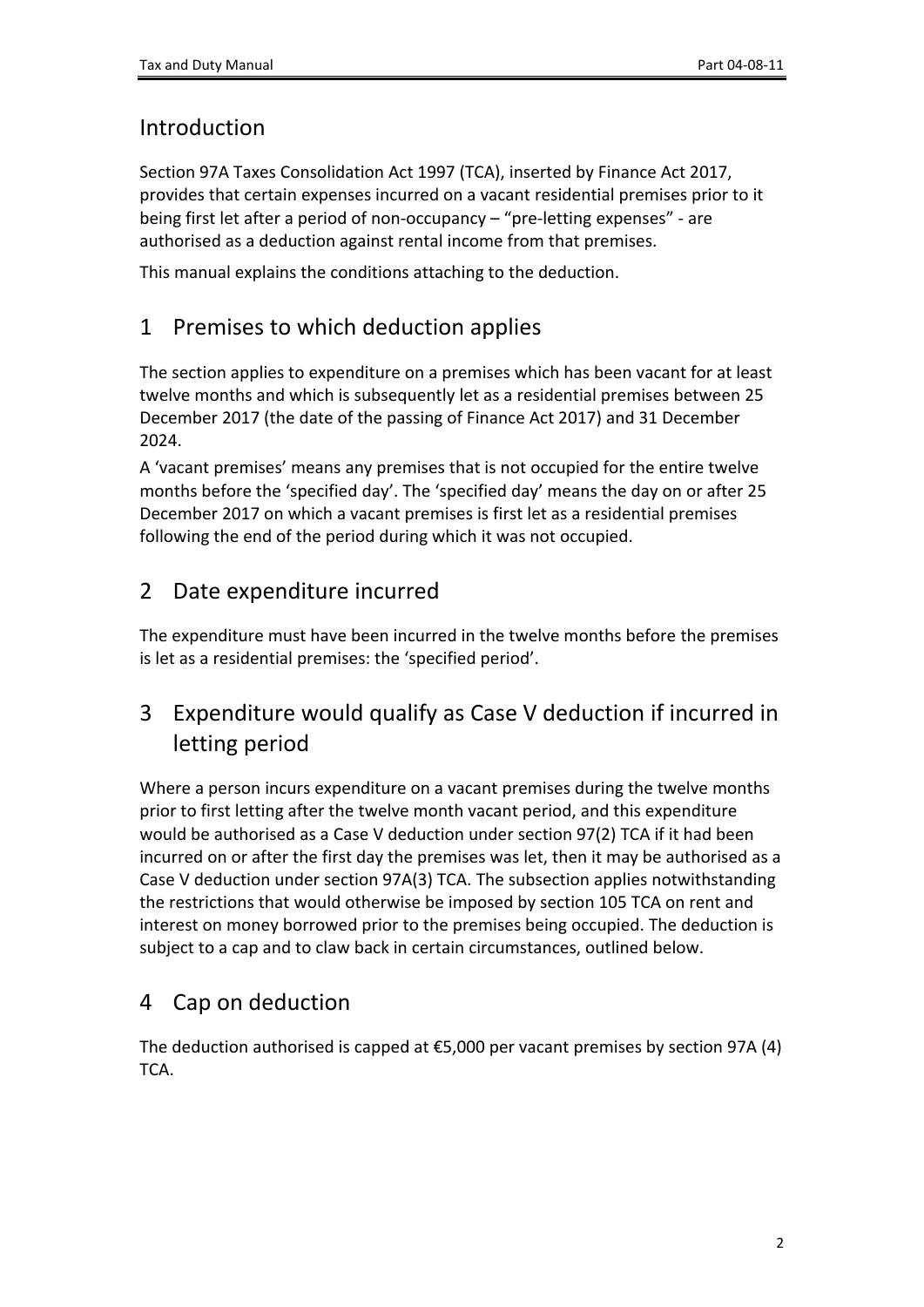#### Introduction

Section 97A Taxes Consolidation Act 1997 (TCA), inserted by Finance Act 2017, provides that certain expenses incurred on a vacant residential premises prior to it being first let after a period of non-occupancy – "pre-letting expenses" - are authorised as a deduction against rental income from that premises.

This manual explains the conditions attaching to the deduction.

#### 1 Premises to which deduction applies

The section applies to expenditure on a premises which has been vacant for at least twelve months and which is subsequently let as a residential premises between 25 December 2017 (the date of the passing of Finance Act 2017) and 31 December 2024.

A 'vacant premises' means any premises that is not occupied for the entire twelve months before the 'specified day'. The 'specified day' means the day on or after 25 December 2017 on which a vacant premises is first let as a residential premises following the end of the period during which it was not occupied.

## 2 Date expenditure incurred

The expenditure must have been incurred in the twelve months before the premises is let as a residential premises: the 'specified period'.

## 3 Expenditure would qualify as Case V deduction if incurred in letting period

Where a person incurs expenditure on a vacant premises during the twelve months prior to first letting after the twelve month vacant period, and this expenditure would be authorised as a Case V deduction under section 97(2) TCA if it had been incurred on or after the first day the premises was let, then it may be authorised as a Case V deduction under section 97A(3) TCA. The subsection applies notwithstanding the restrictions that would otherwise be imposed by section 105 TCA on rent and interest on money borrowed prior to the premises being occupied. The deduction is subject to a cap and to claw back in certain circumstances, outlined below.

## 4 Cap on deduction

The deduction authorised is capped at  $£5,000$  per vacant premises by section 97A (4) TCA.